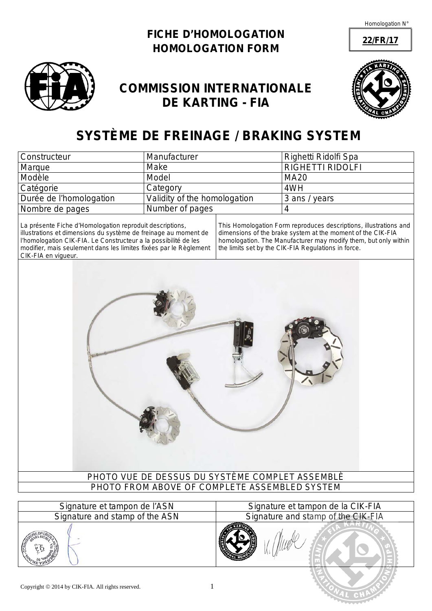**22/FR/17**





## **COMMISSION INTERNATIONALE DE KARTING - FIA**



# **SYSTÈME DE FREINAGE /** *BRAKING SYSTEM*

| <b>Constructeur</b>     | Manufacturer                 | Righetti Ridolfi Spa    |
|-------------------------|------------------------------|-------------------------|
| Marque                  | Make                         | <b>RIGHETTI RIDOLFI</b> |
| Modèle                  | Model                        | <b>MA20</b>             |
| Catégorie               | Category                     | 4WH                     |
| Durée de l'homologation | Validity of the homologation | 3 ans / years           |
| Nombre de pages         | Number of pages              |                         |

La présente Fiche d'Homologation reproduit descriptions, illustrations et dimensions du système de freinage au moment de l'homologation CIK-FIA. Le Constructeur a la possibilité de les modifier, mais seulement dans les limites fixées par le Règlement CIK-FIA en vigueur.

*This Homologation Form reproduces descriptions, illustrations and dimensions of the brake system at the moment of the CIK-FIA homologation. The Manufacturer may modify them, but only within the limits set by the CIK-FIA Regulations in force.*

*Signature and stamp of the ASN Signature and stamp of the CIK-FIA*



| <b>Profitatule</b> of tampon ac more | <b>Olymatare</b> of tampon ac |
|--------------------------------------|-------------------------------|
| Signature and stamp of the ASN       | Signature and stamp of t      |
|                                      |                               |
|                                      |                               |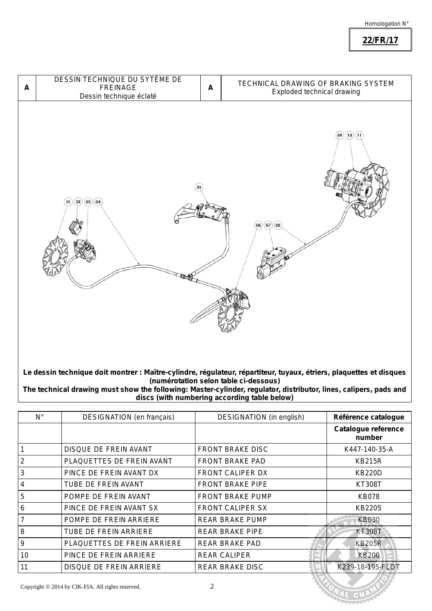**22/FR/17**



**Le dessin technique doit montrer : Maître-cylindre, régulateur, répartiteur, tuyaux, étriers, plaquettes et disques (numérotation selon table ci-dessous)**

*The technical drawing must show the following: Master-cylinder, regulator, distributor, lines, calipers, pads and discs (with numbering according table below)*

| $N^{\circ}$    | DÉSIGNATION (en français)    | <b>DESIGNATION</b> (in english) | Référence catalogue           |
|----------------|------------------------------|---------------------------------|-------------------------------|
|                |                              |                                 | Catalogue reference<br>number |
|                | <b>DISQUE DE FREIN AVANT</b> | <b>FRONT BRAKE DISC</b>         | K447-140-35-A                 |
| 2              | PLAQUETTES DE FREIN AVANT    | <b>FRONT BRAKE PAD</b>          | <b>KB215R</b>                 |
| 3              | PINCE DE FREIN AVANT DX      | <b>FRONT CALIPER DX</b>         | <b>KB220D</b>                 |
| $\overline{4}$ | TUBE DE FREIN AVANT          | <b>FRONT BRAKE PIPE</b>         | KT308T                        |
| 5              | POMPE DE FREIN AVANT         | FRONT BRAKE PUMP                | <b>KB078</b>                  |
| 6              | PINCE DE FREIN AVANT SX      | <b>FRONT CALIPER SX</b>         | <b>KB220S</b>                 |
| $\overline{7}$ | POMPE DE FREIN ARRIERE       | <b>REAR BRAKE PUMP</b>          | <b>KB030</b>                  |
| 8              | TUBE DE FREIN ARRIERE        | <b>REAR BRAKE PIPE</b>          | <b>KT308T</b>                 |
| 9              | PLAQUETTES DE FREIN ARRIERE  | <b>REAR BRAKE PAD</b>           | <b>KB205R</b>                 |
| 10             | PINCE DE FREIN ARRIERE       | <b>REAR CALIPER</b>             | <b>KB200</b>                  |
| 11             | DISQUE DE FREIN ARRIERE      | <b>REAR BRAKE DISC</b>          | K239-18-195-FLOT              |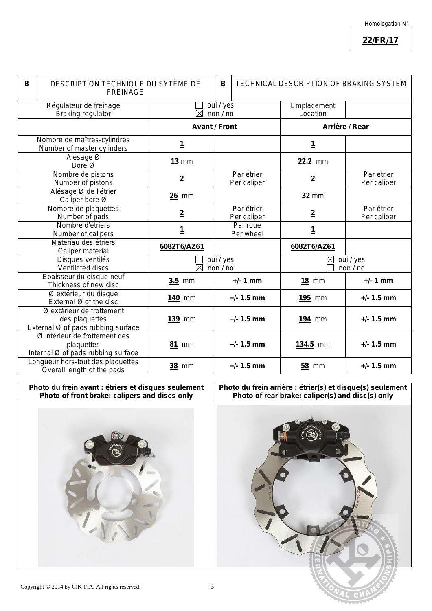**22/FR/17**

| DESCRIPTION TECHNIQUE DU SYTÈME DE<br>B |                                                                                   | В<br><b>TECHNICAL DESCRIPTION OF BRAKING SYSTEM</b> |  |                           |                         |                           |
|-----------------------------------------|-----------------------------------------------------------------------------------|-----------------------------------------------------|--|---------------------------|-------------------------|---------------------------|
|                                         | <b>FREINAGE</b>                                                                   |                                                     |  |                           |                         |                           |
|                                         | Régulateur de freinage<br><b>Braking regulator</b>                                | oui / yes<br>$\boxtimes$<br>non/no                  |  |                           | Emplacement<br>Location |                           |
|                                         |                                                                                   | <b>Avant / Front</b>                                |  | Arrière / Rear            |                         |                           |
|                                         | Nombre de maîtres-cylindres<br>Number of master cylinders                         | <u>1</u>                                            |  |                           | <u>1</u>                |                           |
|                                         | Alésage Ø<br>Bore Ø                                                               | $13 \, \text{mm}$                                   |  |                           | 22.2 mm                 |                           |
|                                         | Nombre de pistons<br>Number of pistons                                            | $\overline{2}$                                      |  | Par étrier<br>Per caliper | $\overline{2}$          | Par étrier<br>Per caliper |
|                                         | Alésage Ø de l'étrier<br>Caliper bore Ø                                           | <b>26 mm</b>                                        |  |                           | <b>32 mm</b>            |                           |
|                                         | Nombre de plaquettes<br>Number of pads                                            | $\overline{2}$                                      |  | Par étrier<br>Per caliper | $\overline{2}$          | Par étrier<br>Per caliper |
|                                         | Nombre d'étriers<br>Number of calipers                                            | <u>1</u>                                            |  | Par roue<br>Per wheel     | <u>1</u>                |                           |
|                                         | Matériau des étriers<br>Caliper material                                          | 6082T6/AZ61                                         |  |                           | 6082T6/AZ61             |                           |
|                                         | Disques ventilés<br>Ventilated discs                                              | oui / yes<br>$\boxtimes$<br>non/no                  |  | oui / yes<br>⊠<br>non/no  |                         |                           |
|                                         | Épaisseur du disque neuf<br>Thickness of new disc                                 | $3.5$ mm                                            |  | $+/- 1$ mm                | <b>18 mm</b>            | $+/- 1$ mm                |
|                                         | Ø extérieur du disque<br>External Ø of the disc                                   | <b>140 mm</b>                                       |  | $+/- 1.5$ mm              | <b>195 mm</b>           | $+/- 1.5$ mm              |
|                                         | Ø extérieur de frottement<br>des plaquettes<br>External Ø of pads rubbing surface | 139 mm                                              |  | $+/- 1.5$ mm              | 194 mm                  | $+/- 1.5$ mm              |
|                                         | Ø intérieur de frottement des<br>plaquettes<br>Internal Ø of pads rubbing surface | <b>81 mm</b>                                        |  | $+/- 1.5$ mm              | 134.5 mm                | $+/- 1.5$ mm              |
|                                         | Longueur hors-tout des plaquettes<br>Overall length of the pads                   | <b>38 mm</b>                                        |  | $+/- 1.5$ mm              | <b>58 mm</b>            | $+/- 1.5$ mm              |

**Photo du frein avant : étriers et disques seulement** *Photo of front brake: calipers and discs only*

**Photo du frein arrière : étrier(s) et disque(s) seulement** *Photo of rear brake: caliper(s) and disc(s) only*